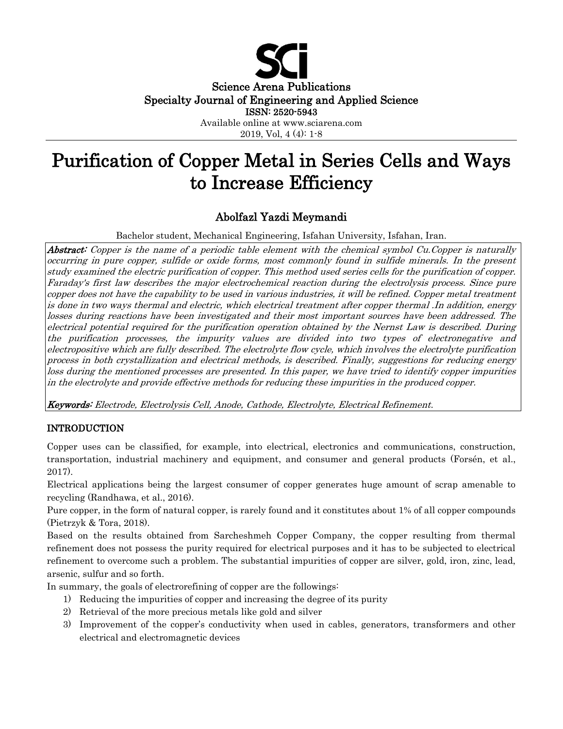

Science Arena Publications Specialty Journal of Engineering and Applied Science

ISSN: 2520-5943

Available online at www.sciarena.com 2019, Vol, 4 (4): 1-8

# Purification of Copper Metal in Series Cells and Ways to Increase Efficiency

# Abolfazl Yazdi Meymandi

Bachelor student, Mechanical Engineering, Isfahan University, Isfahan, Iran.

Abstract: Copper is the name of a periodic table element with the chemical symbol Cu.Copper is naturally occurring in pure copper, sulfide or oxide forms, most commonly found in sulfide minerals. In the present study examined the electric purification of copper. This method used series cells for the purification of copper. Faraday's first law describes the major electrochemical reaction during the electrolysis process. Since pure copper does not have the capability to be used in various industries, it will be refined. Copper metal treatment is done in two ways thermal and electric, which electrical treatment after copper thermal .In addition, energy losses during reactions have been investigated and their most important sources have been addressed. The electrical potential required for the purification operation obtained by the Nernst Law is described. During the purification processes, the impurity values are divided into two types of electronegative and electropositive which are fully described. The electrolyte flow cycle, which involves the electrolyte purification process in both crystallization and electrical methods, is described. Finally, suggestions for reducing energy loss during the mentioned processes are presented. In this paper, we have tried to identify copper impurities in the electrolyte and provide effective methods for reducing these impurities in the produced copper.

Keywords: Electrode, Electrolysis Cell, Anode, Cathode, Electrolyte, Electrical Refinement.

# INTRODUCTION

Copper uses can be classified, for example, into electrical, electronics and communications, construction, transportation, industrial machinery and equipment, and consumer and general products (Forsén, et al., 2017).

Electrical applications being the largest consumer of copper generates huge amount of scrap amenable to recycling (Randhawa, et al., 2016).

Pure copper, in the form of natural copper, is rarely found and it constitutes about 1% of all copper compounds (Pietrzyk & Tora, 2018).

Based on the results obtained from Sarcheshmeh Copper Company, the copper resulting from thermal refinement does not possess the purity required for electrical purposes and it has to be subjected to electrical refinement to overcome such a problem. The substantial impurities of copper are silver, gold, iron, zinc, lead, arsenic, sulfur and so forth.

In summary, the goals of electrorefining of copper are the followings:

- 1) Reducing the impurities of copper and increasing the degree of its purity
- 2) Retrieval of the more precious metals like gold and silver
- 3) Improvement of the copper's conductivity when used in cables, generators, transformers and other electrical and electromagnetic devices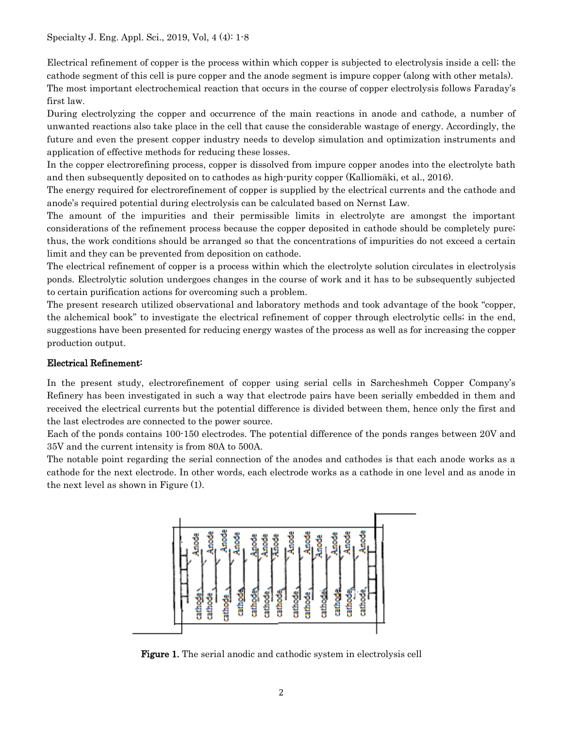Electrical refinement of copper is the process within which copper is subjected to electrolysis inside a cell; the cathode segment of this cell is pure copper and the anode segment is impure copper (along with other metals). The most important electrochemical reaction that occurs in the course of copper electrolysis follows Faraday's first law.

During electrolyzing the copper and occurrence of the main reactions in anode and cathode, a number of unwanted reactions also take place in the cell that cause the considerable wastage of energy. Accordingly, the future and even the present copper industry needs to develop simulation and optimization instruments and application of effective methods for reducing these losses.

In the copper electrorefining process, copper is dissolved from impure copper anodes into the electrolyte bath and then subsequently deposited on to cathodes as high-purity copper (Kalliomäki, et al., 2016).

The energy required for electrorefinement of copper is supplied by the electrical currents and the cathode and anode's required potential during electrolysis can be calculated based on Nernst Law .

The amount of the impurities and their permissible limits in electrolyte are amongst the important considerations of the refinement process because the copper deposited in cathode should be completely pure; thus, the work conditions should be arranged so that the concentrations of impurities do not exceed a certain limit and they can be prevented from deposition on cathode.

The electrical refinement of copper is a process within which the electrolyte solution circulates in electrolysis ponds. Electrolytic solution undergoes changes in the course of work and it has to be subsequently subjected to certain purification actions for overcoming such a problem.

The present research utilized observational and laboratory methods and took advantage of the book "copper, the alchemical book" to investigate the electrical refinement of copper through electrolytic cells; in the end, suggestions have been presented for reducing energy wastes of the process as well as for increasing the copper production output.

# Electrical Refinement:

In the present study, electrorefinement of copper using serial cells in Sarcheshmeh Copper Company's Refinery has been investigated in such a way that electrode pairs have been serially embedded in them and received the electrical currents but the potential difference is divided between them, hence only the first and the last electrodes are connected to the power source.

Each of the ponds contains 100-150 electrodes. The potential difference of the ponds ranges between 20V and 35V and the current intensity is from 80A to 500A.

The notable point regarding the serial connection of the anodes and cathodes is that each anode works as a cathode for the next electrode. In other words, each electrode works as a cathode in one level and as anode in the next level as shown in Figure (1).



Figure 1. The serial anodic and cathodic system in electrolysis cell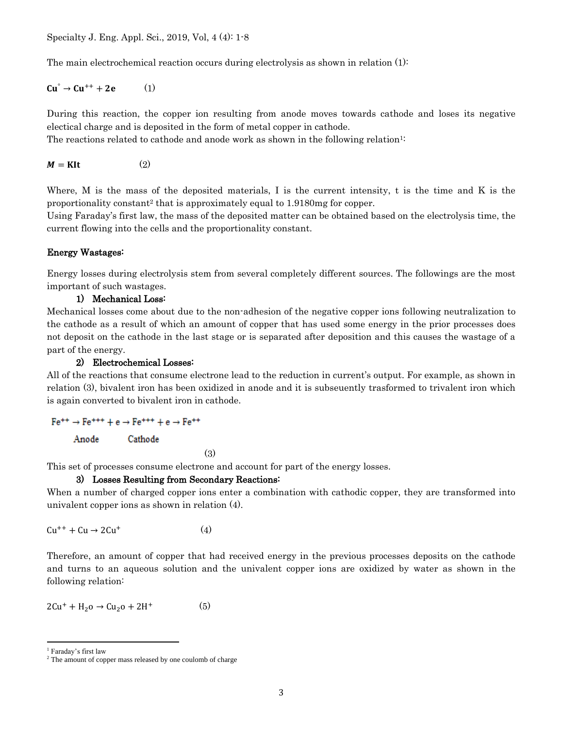The main electrochemical reaction occurs during electrolysis as shown in relation (1):

# $Cu^{\circ} \rightarrow Cu^{++} + 2e$  (1)

During this reaction, the copper ion resulting from anode moves towards cathode and loses its negative electical charge and is deposited in the form of metal copper in cathode.

The reactions related to cathode and anode work as shown in the following relation<sup>1:</sup>

 $M = KIt$  (2)

Where, M is the mass of the deposited materials, I is the current intensity, t is the time and K is the proportionality constant<sup>2</sup> that is approximately equal to 1.9180mg for copper.

Using Faraday's first law, the mass of the deposited matter can be obtained based on the electrolysis time, the current flowing into the cells and the proportionality constant.

#### Energy Wastages:

Energy losses during electrolysis stem from several completely different sources. The followings are the most important of such wastages.

#### 1) Mechanical Loss:

Mechanical losses come about due to the non-adhesion of the negative copper ions following neutralization to the cathode as a result of which an amount of copper that has used some energy in the prior processes does not deposit on the cathode in the last stage or is separated after deposition and this causes the wastage of a part of the energy.

2) Electrochemical Losses:

All of the reactions that consume electrone lead to the reduction in current's output. For example, as shown in relation (3), bivalent iron has been oxidized in anode and it is subseuently trasformed to trivalent iron which is again converted to bivalent iron in cathode.

 $Fe^{++} \rightarrow Fe^{+++} + e \rightarrow Fe^{+++} + e \rightarrow Fe^{++}$ 

Anode Cathode

(3)

This set of processes consume electrone and account for part of the energy losses.

#### 3) Losses Resulting from Secondary Reactions:

When a number of charged copper ions enter a combination with cathodic copper, they are transformed into univalent copper ions as shown in relation (4).

$$
Cu^{++} + Cu \rightarrow 2Cu^{+}
$$
 (4)

Therefore, an amount of copper that had received energy in the previous processes deposits on the cathode and turns to an aqueous solution and the univalent copper ions are oxidized by water as shown in the following relation:

 $2Cu^{+} + H_{2}o \rightarrow Cu_{2}o + 2H^{+}$  $(5)$ 

<sup>1</sup> Faraday's first law

<sup>&</sup>lt;sup>2</sup> The amount of copper mass released by one coulomb of charge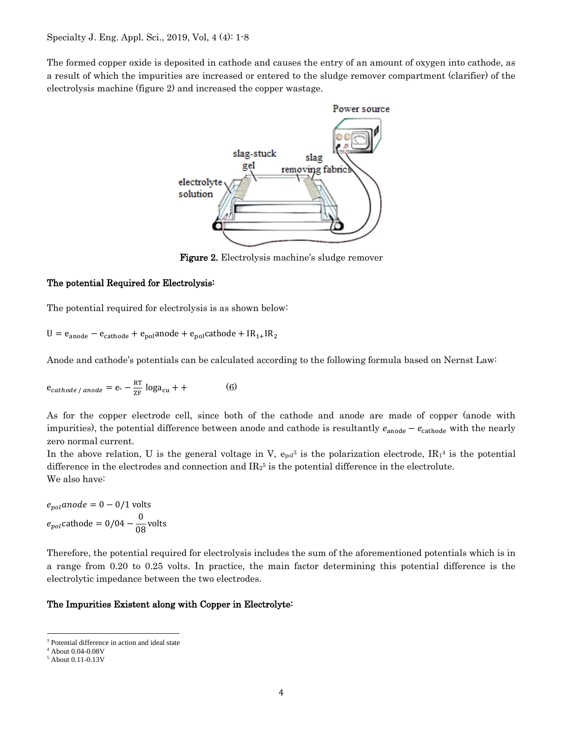The formed copper oxide is deposited in cathode and causes the entry of an amount of oxygen into cathode, as a result of which the impurities are increased or entered to the sludge remover compartment (clarifier) of the electrolysis machine (figure 2) and increased the copper wastage.



Figure 2. Electrolysis machine's sludge remover

#### The potential Required for Electrolysis:

The potential required for electrolysis is as shown below:

 $U = e_{anode} - e_{cathode} + e_{pol}$ anode +  $e_{pol}$ cathode + I $R_{1+}$ I $R_{2}$ 

Anode and cathode's potentials can be calculated according to the following formula based on Nernst Law:

$$
e_{cathode / anode} = e_{\circ} - \frac{RT}{ZF} \log a_{cu} + +
$$
 (6)

As for the copper electrode cell, since both of the cathode and anode are made of copper (anode with impurities), the potential difference between anode and cathode is resultantly  $e_{\text{anode}} - e_{\text{cathode}}$  with the nearly zero normal current.

In the above relation, U is the general voltage in V,  $e_{pol}$ <sup>3</sup> is the polarization electrode,  $IR_1$ <sup>4</sup> is the potential difference in the electrodes and connection and  $IR_2$ <sup>5</sup> is the potential difference in the electrolute. We also have:

 $e_{\text{no}}$  anode = 0 – 0/1 volts  $e_{pol}$ cathode = 0/04 –  $\frac{0}{08}$ volts

Therefore, the potential required for electrolysis includes the sum of the aforementioned potentials which is in a range from 0.20 to 0.25 volts. In practice, the main factor determining this potential difference is the electrolytic impedance between the two electrodes.

#### The Impurities Existent along with Copper in Electrolyte:

<sup>&</sup>lt;sup>3</sup> Potential difference in action and ideal state

<sup>4</sup> About 0.04-0.08V

<sup>5</sup> About 0.11-0.13V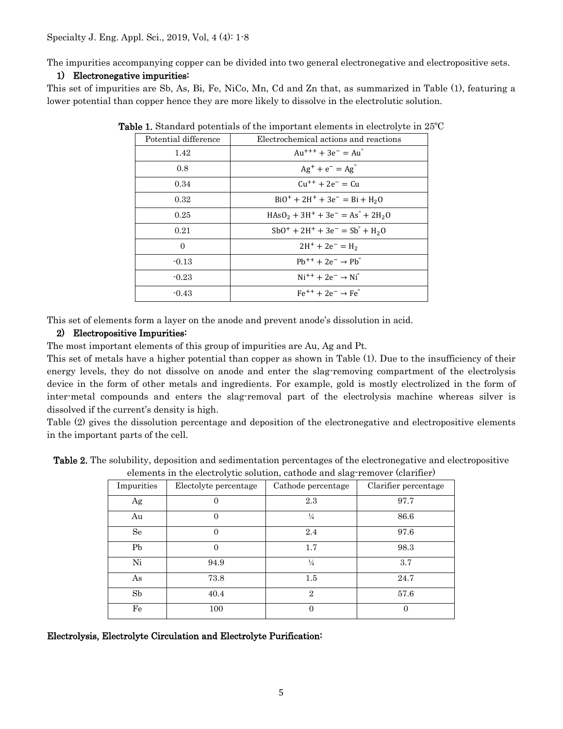The impurities accompanying copper can be divided into two general electronegative and electropositive sets.

#### 1) Electronegative impurities:

This set of impurities are Sb, As, Bi, Fe, NiCo, Mn, Cd and Zn that, as summarized in Table (1), featuring a lower potential than copper hence they are more likely to dissolve in the electrolutic solution.

| Potential difference | Electrochemical actions and reactions                              |  |
|----------------------|--------------------------------------------------------------------|--|
| 1.42                 | $Au^{+++} + 3e^- = Au^{\circ}$                                     |  |
| 0.8                  | $Ag^{+} + e^{-} = Ag^{0}$                                          |  |
| 0.34                 | $Cu^{++} + 2e^- = Cu$                                              |  |
| 0.32                 | $BiO^+ + 2H^+ + 3e^- = Bi + H_2O$                                  |  |
| 0.25                 | $HAsO2 + 3H+ + 3e- = As° + 2H2O$                                   |  |
| 0.21                 | $SbO^{+} + 2H^{+} + 3e^{-} = Sb^{2} + H_{2}O$                      |  |
| 0                    | $2H^+ + 2e^- = H_2$                                                |  |
| $-0.13$              | $\mathrm{Ph^{++}} + 2\mathrm{e^-} \rightarrow \mathrm{Ph}^{\circ}$ |  |
| $-0.23$              | $Ni^{++} + 2e^- \rightarrow Ni^{\circ}$                            |  |
| $-0.43$              | $Fe^{++} + 2e^- \rightarrow Fe^{\circ}$                            |  |

Table 1. Standard potentials of the important elements in electrolyte in 25ºC

This set of elements form a layer on the anode and prevent anode's dissolution in acid.

#### 2) Electropositive Impurities:

The most important elements of this group of impurities are Au, Ag and Pt.

This set of metals have a higher potential than copper as shown in Table (1). Due to the insufficiency of their energy levels, they do not dissolve on anode and enter the slag-removing compartment of the electrolysis device in the form of other metals and ingredients. For example, gold is mostly electrolized in the form of inter-metal compounds and enters the slag-removal part of the electrolysis machine whereas silver is dissolved if the current's density is high.

Table (2) gives the dissolution percentage and deposition of the electronegative and electropositive elements in the important parts of the cell.

| Table 2. The solubility, deposition and sedimentation percentages of the electronegative and electropositive |
|--------------------------------------------------------------------------------------------------------------|
| elements in the electrolytic solution cathode and slag-remover (clarifier)                                   |

| dictional in the clearly ite sciencistly cattle and side, followed (claiming) |                       |                    |                      |  |
|-------------------------------------------------------------------------------|-----------------------|--------------------|----------------------|--|
| Impurities                                                                    | Electolyte percentage | Cathode percentage | Clarifier percentage |  |
| Ag                                                                            | 0                     | 2.3                | 97.7                 |  |
| Au                                                                            | $\Omega$              | $\frac{1}{4}$      | 86.6                 |  |
| Se                                                                            | $\Omega$              | 2.4                | 97.6                 |  |
| Pb                                                                            | $\Omega$              | 1.7                | 98.3                 |  |
| Ni                                                                            | 94.9                  | $\frac{1}{4}$      | 3.7                  |  |
| As                                                                            | 73.8                  | 1.5                | 24.7                 |  |
| Sb                                                                            | 40.4                  | $\mathbf{2}$       | 57.6                 |  |
| Fe                                                                            | 100                   | $\overline{0}$     | $\overline{0}$       |  |

Electrolysis, Electrolyte Circulation and Electrolyte Purification: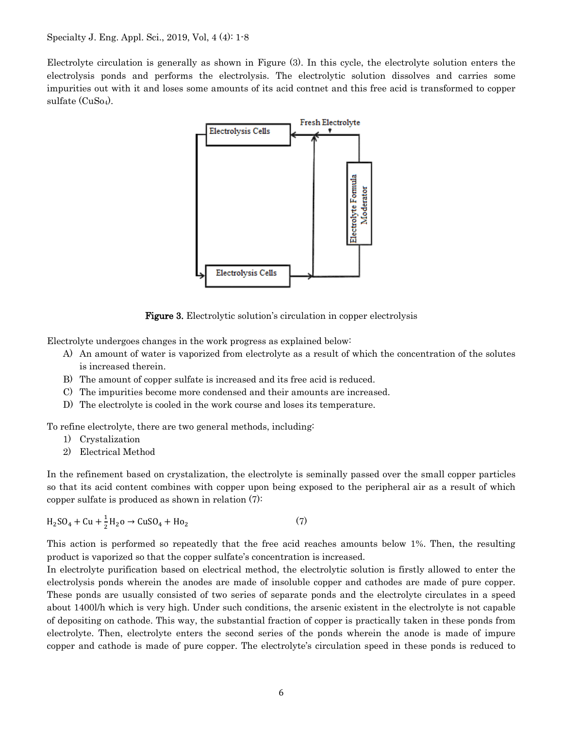Electrolyte circulation is generally as shown in Figure (3). In this cycle, the electrolyte solution enters the electrolysis ponds and performs the electrolysis. The electrolytic solution dissolves and carries some impurities out with it and loses some amounts of its acid contnet and this free acid is transformed to copper sulfate (CuSo<sub>4</sub>).



Figure 3. Electrolytic solution's circulation in copper electrolysis

Electrolyte undergoes changes in the work progress as explained below:

- A) An amount of water is vaporized from electrolyte as a result of which the concentration of the solutes is increased therein.
- B) The amount of copper sulfate is increased and its free acid is reduced.
- C) The impurities become more condensed and their amounts are increased.
- D) The electrolyte is cooled in the work course and loses its temperature.

To refine electrolyte, there are two general methods, including:

- 1) Crystalization
- 2) Electrical Method

In the refinement based on crystalization, the electrolyte is seminally passed over the small copper particles so that its acid content combines with copper upon being exposed to the peripheral air as a result of which copper sulfate is produced as shown in relation (7):

$$
H_2SO_4 + Cu + \frac{1}{2}H_2O \to CuSO_4 + Ho_2 \tag{7}
$$

This action is performed so repeatedly that the free acid reaches amounts below 1%. Then, the resulting product is vaporized so that the copper sulfate's concentration is increased.

In electrolyte purification based on electrical method, the electrolytic solution is firstly allowed to enter the electrolysis ponds wherein the anodes are made of insoluble copper and cathodes are made of pure copper. These ponds are usually consisted of two series of separate ponds and the electrolyte circulates in a speed about 1400l/h which is very high. Under such conditions, the arsenic existent in the electrolyte is not capable of depositing on cathode. This way, the substantial fraction of copper is practically taken in these ponds from electrolyte. Then, electrolyte enters the second series of the ponds wherein the anode is made of impure copper and cathode is made of pure copper. The electrolyte's circulation speed in these ponds is reduced to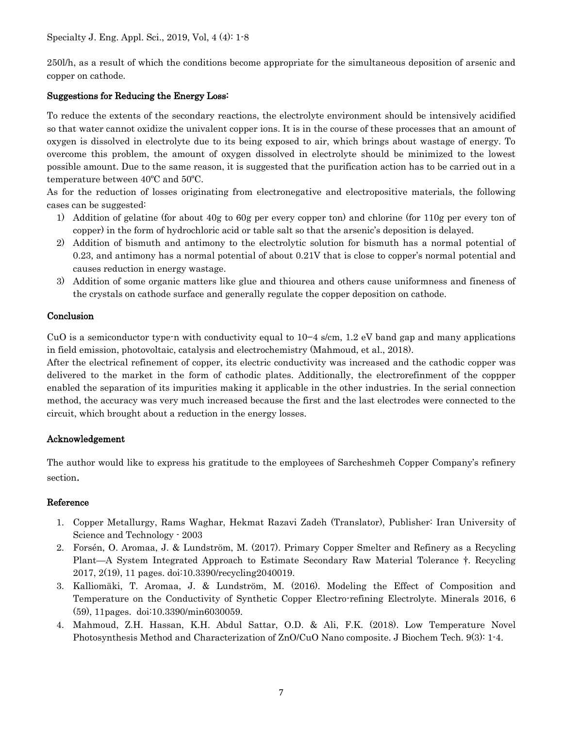250l/h, as a result of which the conditions become appropriate for the simultaneous deposition of arsenic and copper on cathode.

## Suggestions for Reducing the Energy Loss:

To reduce the extents of the secondary reactions, the electrolyte environment should be intensively acidified so that water cannot oxidize the univalent copper ions. It is in the course of these processes that an amount of oxygen is dissolved in electrolyte due to its being exposed to air, which brings about wastage of energy. To overcome this problem, the amount of oxygen dissolved in electrolyte should be minimized to the lowest possible amount. Due to the same reason, it is suggested that the purification action has to be carried out in a temperature between 40ºC and 50ºC.

As for the reduction of losses originating from electronegative and electropositive materials, the following cases can be suggested:

- 1) Addition of gelatine (for about 40g to 60g per every copper ton) and chlorine (for 110g per every ton of copper) in the form of hydrochloric acid or table salt so that the arsenic's deposition is delayed.
- 2) Addition of bismuth and antimony to the electrolytic solution for bismuth has a normal potential of 0.23, and antimony has a normal potential of about 0.21V that is close to copper's normal potential and causes reduction in energy wastage.
- 3) Addition of some organic matters like glue and thiourea and others cause uniformness and fineness of the crystals on cathode surface and generally regulate the copper deposition on cathode.

### Conclusion

CuO is a semiconductor type-n with conductivity equal to 10−4 s/cm, 1.2 eV band gap and many applications in field emission, photovoltaic, catalysis and electrochemistry (Mahmoud, et al., 2018).

After the electrical refinement of copper, its electric conductivity was increased and the cathodic copper was delivered to the market in the form of cathodic plates. Additionally, the electrorefinment of the coppper enabled the separation of its impurities making it applicable in the other industries. In the serial connection method, the accuracy was very much increased because the first and the last electrodes were connected to the circuit, which brought about a reduction in the energy losses.

# Acknowledgement

The author would like to express his gratitude to the employees of Sarcheshmeh Copper Company's refinery section.

#### Reference

- 1. Copper Metallurgy, Rams Waghar, Hekmat Razavi Zadeh (Translator), Publisher: Iran University of Science and Technology - 2003
- 2. Forsén, O. Aromaa, J. & Lundström, M. (2017). Primary Copper Smelter and Refinery as a Recycling Plant—A System Integrated Approach to Estimate Secondary Raw Material Tolerance †. Recycling 2017, 2(19), 11 pages. doi:10.3390/recycling2040019.
- 3. Kalliomäki, T. Aromaa, J. & Lundström, M. (2016). Modeling the Effect of Composition and Temperature on the Conductivity of Synthetic Copper Electro-refining Electrolyte. Minerals 2016, 6 (59), 11pages. doi:10.3390/min6030059.
- 4. Mahmoud, Z.H. Hassan, K.H. Abdul Sattar, O.D. & Ali, F.K. (2018). Low Temperature Novel Photosynthesis Method and Characterization of ZnO/CuO Nano composite. J Biochem Tech. 9(3): 1-4.